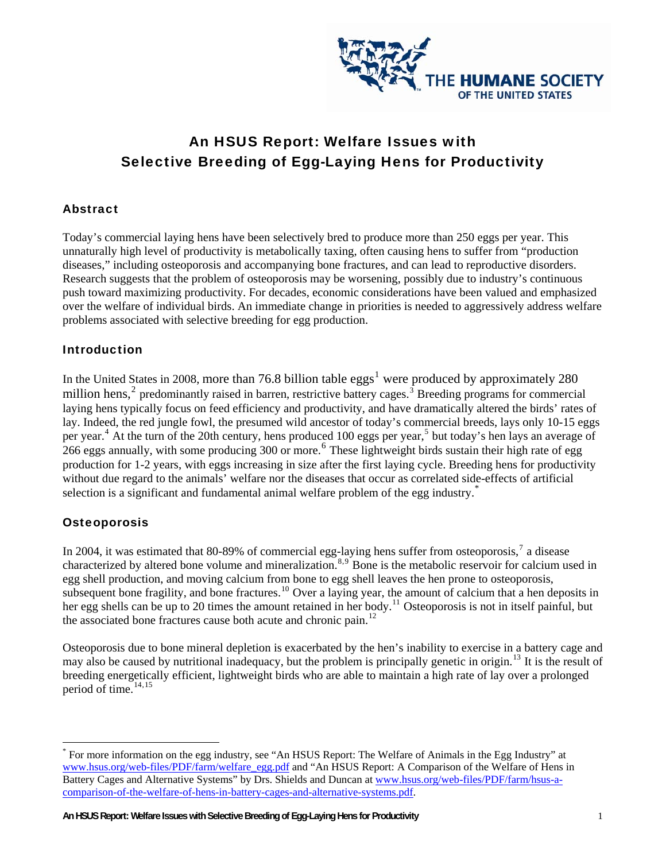

# An HSUS Report: Welfare Issues with Selective Breeding of Egg-Laying Hens for Productivity

### Abstract

Today's commercial laying hens have been selectively bred to produce more than 250 eggs per year. This unnaturally high level of productivity is metabolically taxing, often causing hens to suffer from "production diseases," including osteoporosis and accompanying bone fractures, and can lead to reproductive disorders. Research suggests that the problem of osteoporosis may be worsening, possibly due to industry's continuous push toward maximizing productivity. For decades, economic considerations have been valued and emphasized over the welfare of individual birds. An immediate change in priorities is needed to aggressively address welfare problems associated with selective breeding for egg production.

### **Introduction**

In the United States in 2008, more than 76.8 billion table  $eggs<sup>1</sup>$  $eggs<sup>1</sup>$  $eggs<sup>1</sup>$  were produced by approximately 280 million hens,<sup>[2](#page-2-1)</sup> predominantly raised in barren, restrictive battery cages.<sup>[3](#page-2-1)</sup> Breeding programs for commercial laying hens typically focus on feed efficiency and productivity, and have dramatically altered the birds' rates of lay. Indeed, the red jungle fowl, the presumed wild ancestor of today's commercial breeds, lays only 10-15 eggs per year.<sup>[4](#page-2-1)</sup> At the turn of the 20th century, hens produced 100 eggs per year,<sup>[5](#page-2-1)</sup> but today's hen lays an average of <sup>2</sup> 2[6](#page-2-1)6 eggs annually, with some producing 300 or more.<sup>6</sup> These lightweight birds sustain their high rate of egg production for 1-2 years, with eggs increasing in size after the first laying cycle. Breeding hens for productivity without due regard to the animals' welfare nor the diseases that occur as correlated side-effects of artificial selection is a significant and fundamental animal welfare problem of the egg industry.

### **Osteoporosis**

 $\overline{a}$ 

In 2004, it was estimated that 80-89% of commercial egg-laying hens suffer from osteoporosis,<sup>[7](#page-2-1)</sup> a disease characterized by altered bone volume and mineralization.<sup>[8](#page-2-1),[9](#page-2-1)</sup> Bone is the metabolic reservoir for calcium used in egg shell production, and moving calcium from bone to egg shell leaves the hen prone to osteoporosis, subsequent bone fragility, and bone fractures.<sup>[10](#page-2-1)</sup> Over a laying year, the amount of calcium that a hen deposits in her egg shells can be up to 20 times the amount retained in her body.<sup>[11](#page-2-1)</sup> Osteoporosis is not in itself painful, but the associated bone fractures cause both acute and chronic pain.<sup>[12](#page-3-0)</sup>

Osteoporosis due to bone mineral depletion is exacerbated by the hen's inability to exercise in a battery cage and may also be caused by nutritional inadequacy, but the problem is principally genetic in origin.<sup>[13](#page-3-0)</sup> It is the result of breeding energetically efficient, lightweight birds who are able to maintain a high rate of lay over a prolonged period of time. $14,15$  $14,15$  $14,15$ 

<span id="page-0-0"></span><sup>\*</sup> For more information on the egg industry, see "An HSUS Report: The Welfare of Animals in the Egg Industry" at [www.hsus.org/web-files/PDF/farm/welfare\\_egg.pdf](http://www.hsus.org/web-files/PDF/farm/welfare_egg.pdf) and "An HSUS Report: A Comparison of the Welfare of Hens in Battery Cages and Alternative Systems" by Drs. Shields and Duncan at [www.hsus.org/web-files/PDF/farm/hsus-a](http://www.hsus.org/web-files/PDF/farm/hsus-a-comparison-of-the-welfare-of-hens-in-battery-cages-and-alternative-systems.pdf)[comparison-of-the-welfare-of-hens-in-battery-cages-and-alternative-systems.pdf.](http://www.hsus.org/web-files/PDF/farm/hsus-a-comparison-of-the-welfare-of-hens-in-battery-cages-and-alternative-systems.pdf)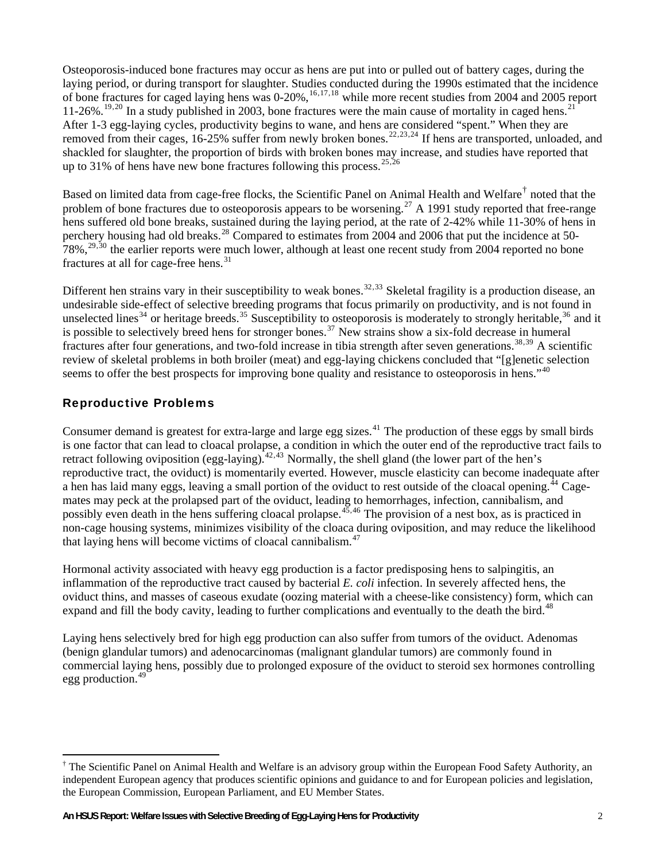Osteoporosis-induced bone fractures may occur as hens are put into or pulled out of battery cages, during the laying period, or during transport for slaughter. Studies conducted during the 1990s estimated that the incidence of bone fractures for caged laying hens was 0-20%,<sup>[16](#page-3-0),[17](#page-3-0),[18](#page-3-0)</sup> while more recent studies from 2004 and 2005 report 11-26%.<sup>[19](#page-3-0),[20](#page-3-0)</sup> In a study published in 2003, bone fractures were the main cause of mortality in caged hens.<sup>[21](#page-3-0)</sup> After 1-3 egg-laying cycles, productivity begins to wane, and hens are considered "spent." When they are removed from their cages, 16-25% suffer from newly broken bones.<sup>[22](#page-3-0),[23](#page-3-0),[24](#page-3-0)</sup> If hens are transported, unloaded, and shackled for slaughter, the proportion of birds with broken bones may increase, and studies have reported that up to 31% of hens have new bone fractures following this process.  $25,26$ 

Based on limited data from cage-free flocks, the Scientific Panel on Animal Health and Welfare<sup>[†](#page-1-0)</sup> noted that the problem of bone fractures due to osteoporosis appears to be worsening.<sup>[27](#page-3-0)</sup> A 1991 study reported that free-range hens suffered old bone breaks, sustained during the laying period, at the rate of 2-42% while 11-30% of hens in perchery housing had old breaks.<sup>[28](#page-3-0)</sup> Compared to estimates from 2004 and 2006 that put the incidence at 50- $78\%$ <sup>[29](#page-3-0),[30](#page-3-0)</sup> the earlier reports were much lower, although at least one recent study from 2004 reported no bone fractures at all for cage-free hens.<sup>[31](#page-3-0)</sup>

Different hen strains vary in their susceptibility to weak bones.<sup>[32](#page-3-0),[33](#page-3-0)</sup> Skeletal fragility is a production disease, an undesirable side-effect of selective breeding programs that focus primarily on productivity, and is not found in unselected lines<sup>[34](#page-3-0)</sup> or heritage breeds.<sup>[35](#page-3-0)</sup> Susceptibility to osteoporosis is moderately to strongly heritable,<sup>[36](#page-4-0)</sup> and it is possible to selectively breed hens for stronger bones.<sup>[37](#page-4-0)</sup> New strains show a six-fold decrease in humeral fractures after four generations, and two-fold increase in tibia strength after seven generations.<sup>[38](#page-4-0),[39](#page-4-0)</sup> A scientific review of skeletal problems in both broiler (meat) and egg-laying chickens concluded that "[g]enetic selection seems to offer the best prospects for improving bone quality and resistance to osteoporosis in hens."<sup>[40](#page-4-0)</sup>

### Reproductive Problems

 $\overline{a}$ 

reproductive tract, the oviduct) is momentarily everted. However, muscle elasticity can become inadequate after that laying hens will become victims of cloacal cannibalism. $47$ Consumer demand is greatest for extra-large and large egg sizes.<sup>[41](#page-4-0)</sup> The production of these eggs by small birds is one factor that can lead to cloacal prolapse, a condition in which the outer end of the reproductive tract fails to retract following oviposition (egg-laying).<sup>[42](#page-4-0),[43](#page-4-0)</sup> Normally, the shell gland (the lower part of the hen's a hen has laid many eggs, leaving a small portion of the oviduct to rest outside of the cloacal opening.<sup>[44](#page-4-0)</sup> Cagemates may peck at the prolapsed part of the oviduct, leading to hemorrhages, infection, cannibalism, and possibly even death in the hens suffering cloacal prolapse.[45](#page-4-0),[46](#page-4-0) The provision of a nest box, as is practiced in non-cage housing systems, minimizes visibility of the cloaca during oviposition, and may reduce the likelihood

Hormonal activity associated with heavy egg production is a factor predisposing hens to salpingitis, an inflammation of the reproductive tract caused by bacterial *E. coli* infection. In severely affected hens, the oviduct thins, and masses of caseous exudate (oozing material with a cheese-like consistency) form, which can expand and fill the body cavity, leading to further complications and eventually to the death the bird.<sup>[48](#page-4-0)</sup>

Laying hens selectively bred for high egg production can also suffer from tumors of the oviduct. Adenomas (benign glandular tumors) and adenocarcinomas (malignant glandular tumors) are commonly found in commercial laying hens, possibly due to prolonged exposure of the oviduct to steroid sex hormones controlling egg production.[49](#page-4-0)

<span id="page-1-0"></span><sup>&</sup>lt;sup>†</sup> The Scientific Panel on Animal Health and Welfare is an advisory group within the European Food Safety Authority, an independent European agency that produces scientific opinions and guidance to and for European policies and legislation, the European Commission, European Parliament, and EU Member States.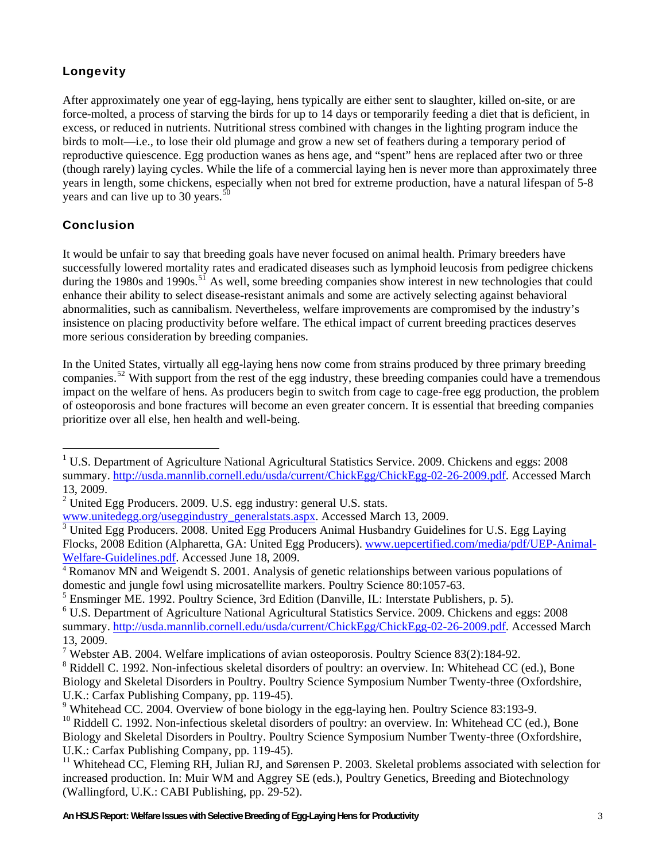## <span id="page-2-1"></span>Longevity

After approximately one year of egg-laying, hens typically are either sent to slaughter, killed on-site, or are force-molted, a process of starving the birds for up to 14 days or temporarily feeding a diet that is deficient, in excess, or reduced in nutrients. Nutritional stress combined with changes in the lighting program induce the birds to molt—i.e., to lose their old plumage and grow a new set of feathers during a temporary period of reproductive quiescence. Egg production wanes as hens age, and "spent" hens are replaced after two or three (though rarely) laying cycles. While the life of a commercial laying hen is never more than approximately three years in length, some chickens, especially when not bred for extreme production, have a natural lifespan of 5-8 years and can live up to 30 years.<sup>5</sup>

### Conclusion

 $\overline{a}$ 

It would be unfair to say that breeding goals have never focused on animal health. Primary breeders have successfully lowered mortality rates and eradicated diseases such as lymphoid leucosis from pedigree chickens during the 1980s and 1990s.<sup>[51](#page-4-1)</sup> As well, some breeding companies show interest in new technologies that could enhance their ability to select disease-resistant animals and some are actively selecting against behavioral abnormalities, such as cannibalism. Nevertheless, welfare improvements are compromised by the industry's insistence on placing productivity before welfare. The ethical impact of current breeding practices deserves more serious consideration by breeding companies.

In the United States, virtually all egg-laying hens now come from strains produced by three primary breeding companies.<sup>[52](#page-4-2)</sup> With support from the rest of the egg industry, these breeding companies could have a tremendous impact on the welfare of hens. As producers begin to switch from cage to cage-free egg production, the problem of osteoporosis and bone fractures will become an even greater concern. It is essential that breeding companies prioritize over all else, hen health and well-being.

<span id="page-2-0"></span><sup>&</sup>lt;sup>1</sup> U.S. Department of Agriculture National Agricultural Statistics Service. 2009. Chickens and eggs: 2008 summary.<http://usda.mannlib.cornell.edu/usda/current/ChickEgg/ChickEgg-02-26-2009.pdf>. Accessed March 13, 2009.

 $2$  United Egg Producers. 2009. U.S. egg industry: general U.S. stats.

[www.unitedegg.org/useggindustry\\_generalstats.aspx](http://www.unitedegg.org/useggindustry_generalstats.aspx). Accessed March 13, 2009.

<sup>&</sup>lt;sup>3</sup> United Egg Producers. 2008. United Egg Producers Animal Husbandry Guidelines for U.S. Egg Laying Flocks, 2008 Edition (Alpharetta, GA: United Egg Producers). [www.uepcertified.com/media/pdf/UEP-Animal-](http://www.uepcertified.com/media/pdf/UEP-Animal-Welfare-Guidelines.pdf)[Welfare-Guidelines.pdf.](http://www.uepcertified.com/media/pdf/UEP-Animal-Welfare-Guidelines.pdf) Accessed June 18, 2009.<br><sup>[4](http://www.uepcertified.com/media/pdf/UEP-Animal-Welfare-Guidelines.pdf)</sup> Romanov MN and Weigendt S. 2001. Analysis of genetic relationships between various populations of

domestic and jungle fowl using microsatellite markers. Poultry Science 80:1057-63.

<sup>&</sup>lt;sup>5</sup> Ensminger ME. 1992. Poultry Science, 3rd Edition (Danville, IL: Interstate Publishers, p. 5).

<sup>6</sup> U.S. Department of Agriculture National Agricultural Statistics Service. 2009. Chickens and eggs: 2008 summary.<http://usda.mannlib.cornell.edu/usda/current/ChickEgg/ChickEgg-02-26-2009.pdf>. Accessed March 13, 2009.

<sup>&</sup>lt;sup>7</sup> Webster AB. 2004. Welfare implications of avian osteoporosis. Poultry Science 83(2):184-92.

<sup>&</sup>lt;sup>8</sup> Riddell C. 1992. Non-infectious skeletal disorders of poultry: an overview. In: Whitehead CC (ed.), Bone Biology and Skeletal Disorders in Poultry. Poultry Science Symposium Number Twenty-three (Oxfordshire, U.K.: Carfax Publishing Company, pp. 119-45).

<sup>&</sup>lt;sup>9</sup> Whitehead CC. 2004. Overview of bone biology in the egg-laying hen. Poultry Science 83:193-9.

 $10$  Riddell C. 1992. Non-infectious skeletal disorders of poultry: an overview. In: Whitehead CC (ed.), Bone Biology and Skeletal Disorders in Poultry. Poultry Science Symposium Number Twenty-three (Oxfordshire, U.K.: Carfax Publishing Company, pp. 119-45).

<sup>&</sup>lt;sup>11</sup> Whitehead CC, Fleming RH, Julian RJ, and Sørensen P. 2003. Skeletal problems associated with selection for increased production. In: Muir WM and Aggrey SE (eds.), Poultry Genetics, Breeding and Biotechnology (Wallingford, U.K.: CABI Publishing, pp. 29-52).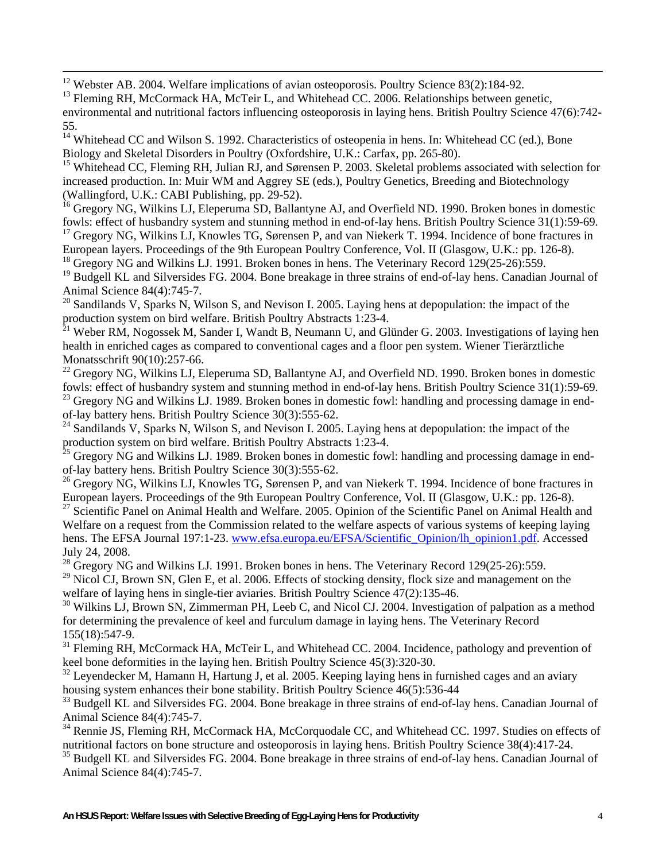<span id="page-3-0"></span> $12$  Webster AB. 2004. Welfare implications of avian osteoporosis. Poultry Science 83(2):184-92.

<sup>13</sup> Fleming RH, McCormack HA, McTeir L, and Whitehead CC. 2006. Relationships between genetic, environmental and nutritional factors influencing osteoporosis in laying hens. British Poultry Science 47(6):742- 55.

<sup>14</sup> Whitehead CC and Wilson S. 1992. Characteristics of osteopenia in hens. In: Whitehead CC (ed.), Bone Biology and Skeletal Disorders in Poultry (Oxfordshire, U.K.: Carfax, pp. 265-80).

<sup>15</sup> Whitehead CC, Fleming RH, Julian RJ, and Sørensen P. 2003. Skeletal problems associated with selection for increased production. In: Muir WM and Aggrey SE (eds.), Poultry Genetics, Breeding and Biotechnology (Wallingford, U.K.: CABI Publishing, pp. 29-52).

<sup>16</sup> Gregory NG, Wilkins LJ, Eleperuma SD, Ballantyne AJ, and Overfield ND. 1990. Broken bones in domestic fowls: effect of husbandry system and stunning method in end-of-lay hens. British Poultry Science 31(1):59-69.

<sup>17</sup> Gregory NG, Wilkins LJ, Knowles TG, Sørensen P, and van Niekerk T. 1994. Incidence of bone fractures in European layers. Proceedings of the 9th European Poultry Conference, Vol. II (Glasgow, U.K.: pp. 126-8).

<sup>18</sup> Gregory NG and Wilkins LJ. 1991. Broken bones in hens. The Veterinary Record 129(25-26):559.

<sup>19</sup> Budgell KL and Silversides FG. 2004. Bone breakage in three strains of end-of-lay hens. Canadian Journal of Animal Science 84(4):745-7.

 $20$  Sandilands V, Sparks N, Wilson S, and Nevison I. 2005. Laying hens at depopulation: the impact of the production system on bird welfare. British Poultry Abstracts 1:23-4.

 $^{21}$  Weber RM, Nogossek M, Sander I, Wandt B, Neumann U, and Glünder G. 2003. Investigations of laying hen health in enriched cages as compared to conventional cages and a floor pen system. Wiener Tierärztliche Monatsschrift 90(10):257-66.

 $^{22}$  Gregory NG, Wilkins LJ, Eleperuma SD, Ballantyne AJ, and Overfield ND. 1990. Broken bones in domestic fowls: effect of husbandry system and stunning method in end-of-lay hens. British Poultry Science 31(1):59-69.

<sup>23</sup> Gregory NG and Wilkins LJ. 1989. Broken bones in domestic fowl: handling and processing damage in endof-lay battery hens. British Poultry Science 30(3):555-62.

 $24$  Sandilands V, Sparks N, Wilson S, and Nevison I. 2005. Laying hens at depopulation: the impact of the production system on bird welfare. British Poultry Abstracts 1:23-4.

 $^{25}$  Gregory NG and Wilkins LJ. 1989. Broken bones in domestic fowl: handling and processing damage in endof-lay battery hens. British Poultry Science 30(3):555-62.

<sup>26</sup> Gregory NG, Wilkins LJ, Knowles TG, Sørensen P, and van Niekerk T. 1994. Incidence of bone fractures in European layers. Proceedings of the 9th European Poultry Conference, Vol. II (Glasgow, U.K.: pp. 126-8).

<sup>27</sup> Scientific Panel on Animal Health and Welfare. 2005. Opinion of the Scientific Panel on Animal Health and Welfare on a request from the Commission related to the welfare aspects of various systems of keeping laying hens. The EFSA Journal 197:1-23. [www.efsa.europa.eu/EFSA/Scientific\\_Opinion/lh\\_opinion1.pdf.](http://www.efsa.europa.eu/EFSA/Scientific_Opinion/lh_opinion1.pdf) Accessed July 24, 2008.

 $^{28}$  Gregory NG and Wilkins LJ. 1991. Broken bones in hens. The Veterinary Record 129(25-26):559.

 $^{29}$  Nicol CJ, Brown SN, Glen E, et al. 2006. Effects of stocking density, flock size and management on the welfare of laying hens in single-tier aviaries. British Poultry Science 47(2):135-46.

<sup>30</sup> Wilkins LJ, Brown SN, Zimmerman PH, Leeb C, and Nicol CJ. 2004. Investigation of palpation as a method for determining the prevalence of keel and furculum damage in laying hens. The Veterinary Record 155(18):547-9.

<sup>31</sup> Fleming RH, McCormack HA, McTeir L, and Whitehead CC. 2004. Incidence, pathology and prevention of keel bone deformities in the laying hen. British Poultry Science 45(3):320-30.

<sup>32</sup> Leyendecker M, Hamann H, Hartung J, et al. 2005. Keeping laying hens in furnished cages and an aviary housing system enhances their bone stability. British Poultry Science 46(5):536-44

<sup>33</sup> Budgell KL and Silversides FG. 2004. Bone breakage in three strains of end-of-lay hens. Canadian Journal of Animal Science 84(4):745-7.

<sup>34</sup> Rennie JS, Fleming RH, McCormack HA, McCorquodale CC, and Whitehead CC. 1997. Studies on effects of nutritional factors on bone structure and osteoporosis in laying hens. British Poultry Science 38(4):417-24.

<sup>35</sup> Budgell KL and Silversides FG. 2004. Bone breakage in three strains of end-of-lay hens. Canadian Journal of Animal Science 84(4):745-7.